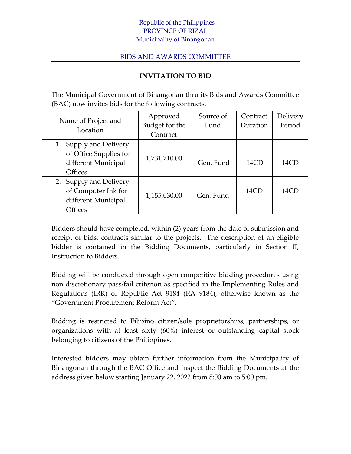## Republic of the Philippines PROVINCE OF RIZAL Municipality of Binangonan

## BIDS AND AWARDS COMMITTEE

## **INVITATION TO BID**

The Municipal Government of Binangonan thru its Bids and Awards Committee (BAC) now invites bids for the following contracts.

| Name of Project and<br>Location | Approved       | Source of | Contract | Delivery |
|---------------------------------|----------------|-----------|----------|----------|
|                                 | Budget for the | Fund      | Duration | Period   |
|                                 | Contract       |           |          |          |
| 1. Supply and Delivery          |                |           |          |          |
| of Office Supplies for          | 1,731,710.00   |           |          |          |
| different Municipal             |                | Gen. Fund | 14CD     | 14CD     |
| <b>Offices</b>                  |                |           |          |          |
| 2. Supply and Delivery          |                |           |          |          |
| of Computer Ink for             |                | Gen. Fund | 14CD     | 14CD     |
| different Municipal             | 1,155,030.00   |           |          |          |
| <b>Offices</b>                  |                |           |          |          |

Bidders should have completed, within (2) years from the date of submission and receipt of bids, contracts similar to the projects. The description of an eligible bidder is contained in the Bidding Documents, particularly in Section II, Instruction to Bidders.

Bidding will be conducted through open competitive bidding procedures using non discretionary pass/fail criterion as specified in the Implementing Rules and Regulations (IRR) of Republic Act 9184 (RA 9184), otherwise known as the "Government Procurement Reform Act".

Bidding is restricted to Filipino citizen/sole proprietorships, partnerships, or organizations with at least sixty (60%) interest or outstanding capital stock belonging to citizens of the Philippines.

Interested bidders may obtain further information from the Municipality of Binangonan through the BAC Office and inspect the Bidding Documents at the address given below starting January 22, 2022 from 8:00 am to 5:00 pm.